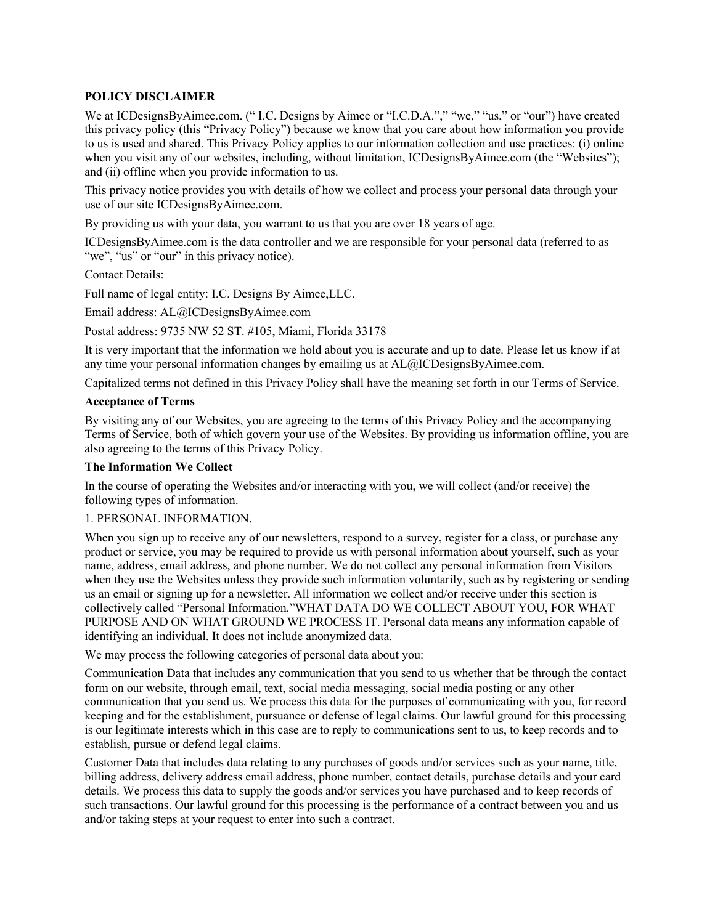# **POLICY DISCLAIMER**

We at ICDesignsByAimee.com. (" I.C. Designs by Aimee or "I.C.D.A."," "we," "us," or "our") have created this privacy policy (this "Privacy Policy") because we know that you care about how information you provide to us is used and shared. This Privacy Policy applies to our information collection and use practices: (i) online when you visit any of our websites, including, without limitation, ICDesignsByAimee.com (the "Websites"); and (ii) offline when you provide information to us.

This privacy notice provides you with details of how we collect and process your personal data through your use of our site ICDesignsByAimee.com.

By providing us with your data, you warrant to us that you are over 18 years of age.

ICDesignsByAimee.com is the data controller and we are responsible for your personal data (referred to as "we", "us" or "our" in this privacy notice).

Contact Details:

Full name of legal entity: I.C. Designs By Aimee,LLC.

Email address: AL@ICDesignsByAimee.com

Postal address: 9735 NW 52 ST. #105, Miami, Florida 33178

It is very important that the information we hold about you is accurate and up to date. Please let us know if at any time your personal information changes by emailing us at AL@ICDesignsByAimee.com.

Capitalized terms not defined in this Privacy Policy shall have the meaning set forth in our Terms of Service.

#### **Acceptance of Terms**

By visiting any of our Websites, you are agreeing to the terms of this Privacy Policy and the accompanying Terms of Service, both of which govern your use of the Websites. By providing us information offline, you are also agreeing to the terms of this Privacy Policy.

#### **The Information We Collect**

In the course of operating the Websites and/or interacting with you, we will collect (and/or receive) the following types of information.

## 1. PERSONAL INFORMATION.

When you sign up to receive any of our newsletters, respond to a survey, register for a class, or purchase any product or service, you may be required to provide us with personal information about yourself, such as your name, address, email address, and phone number. We do not collect any personal information from Visitors when they use the Websites unless they provide such information voluntarily, such as by registering or sending us an email or signing up for a newsletter. All information we collect and/or receive under this section is collectively called "Personal Information."WHAT DATA DO WE COLLECT ABOUT YOU, FOR WHAT PURPOSE AND ON WHAT GROUND WE PROCESS IT. Personal data means any information capable of identifying an individual. It does not include anonymized data.

We may process the following categories of personal data about you:

Communication Data that includes any communication that you send to us whether that be through the contact form on our website, through email, text, social media messaging, social media posting or any other communication that you send us. We process this data for the purposes of communicating with you, for record keeping and for the establishment, pursuance or defense of legal claims. Our lawful ground for this processing is our legitimate interests which in this case are to reply to communications sent to us, to keep records and to establish, pursue or defend legal claims.

Customer Data that includes data relating to any purchases of goods and/or services such as your name, title, billing address, delivery address email address, phone number, contact details, purchase details and your card details. We process this data to supply the goods and/or services you have purchased and to keep records of such transactions. Our lawful ground for this processing is the performance of a contract between you and us and/or taking steps at your request to enter into such a contract.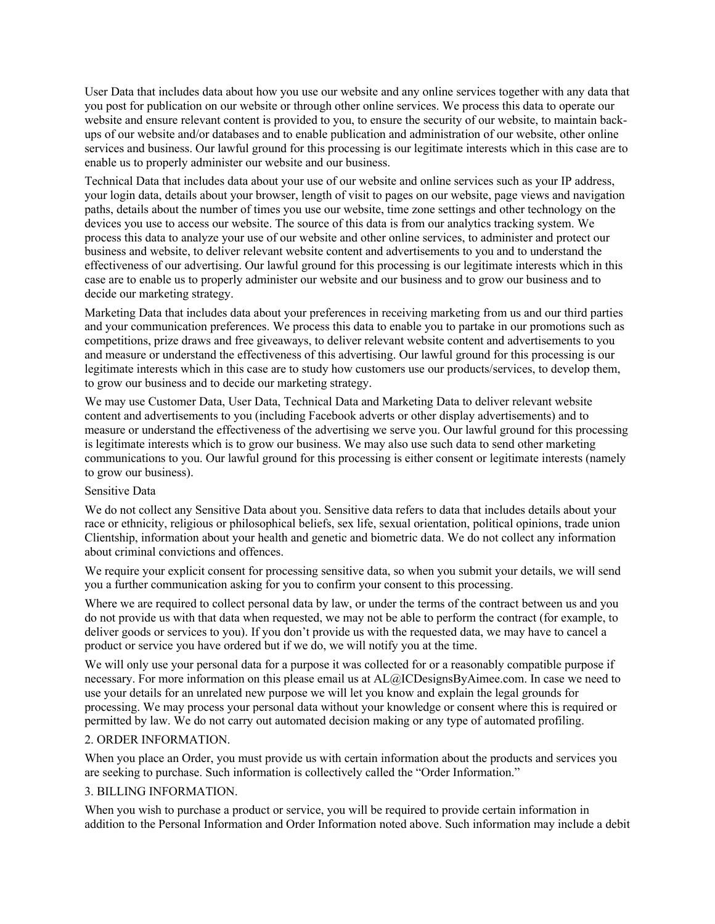User Data that includes data about how you use our website and any online services together with any data that you post for publication on our website or through other online services. We process this data to operate our website and ensure relevant content is provided to you, to ensure the security of our website, to maintain backups of our website and/or databases and to enable publication and administration of our website, other online services and business. Our lawful ground for this processing is our legitimate interests which in this case are to enable us to properly administer our website and our business.

Technical Data that includes data about your use of our website and online services such as your IP address, your login data, details about your browser, length of visit to pages on our website, page views and navigation paths, details about the number of times you use our website, time zone settings and other technology on the devices you use to access our website. The source of this data is from our analytics tracking system. We process this data to analyze your use of our website and other online services, to administer and protect our business and website, to deliver relevant website content and advertisements to you and to understand the effectiveness of our advertising. Our lawful ground for this processing is our legitimate interests which in this case are to enable us to properly administer our website and our business and to grow our business and to decide our marketing strategy.

Marketing Data that includes data about your preferences in receiving marketing from us and our third parties and your communication preferences. We process this data to enable you to partake in our promotions such as competitions, prize draws and free giveaways, to deliver relevant website content and advertisements to you and measure or understand the effectiveness of this advertising. Our lawful ground for this processing is our legitimate interests which in this case are to study how customers use our products/services, to develop them, to grow our business and to decide our marketing strategy.

We may use Customer Data, User Data, Technical Data and Marketing Data to deliver relevant website content and advertisements to you (including Facebook adverts or other display advertisements) and to measure or understand the effectiveness of the advertising we serve you. Our lawful ground for this processing is legitimate interests which is to grow our business. We may also use such data to send other marketing communications to you. Our lawful ground for this processing is either consent or legitimate interests (namely to grow our business).

## Sensitive Data

We do not collect any Sensitive Data about you. Sensitive data refers to data that includes details about your race or ethnicity, religious or philosophical beliefs, sex life, sexual orientation, political opinions, trade union Clientship, information about your health and genetic and biometric data. We do not collect any information about criminal convictions and offences.

We require your explicit consent for processing sensitive data, so when you submit your details, we will send you a further communication asking for you to confirm your consent to this processing.

Where we are required to collect personal data by law, or under the terms of the contract between us and you do not provide us with that data when requested, we may not be able to perform the contract (for example, to deliver goods or services to you). If you don't provide us with the requested data, we may have to cancel a product or service you have ordered but if we do, we will notify you at the time.

We will only use your personal data for a purpose it was collected for or a reasonably compatible purpose if necessary. For more information on this please email us at AL@ICDesignsByAimee.com. In case we need to use your details for an unrelated new purpose we will let you know and explain the legal grounds for processing. We may process your personal data without your knowledge or consent where this is required or permitted by law. We do not carry out automated decision making or any type of automated profiling.

## 2. ORDER INFORMATION.

When you place an Order, you must provide us with certain information about the products and services you are seeking to purchase. Such information is collectively called the "Order Information."

# 3. BILLING INFORMATION.

When you wish to purchase a product or service, you will be required to provide certain information in addition to the Personal Information and Order Information noted above. Such information may include a debit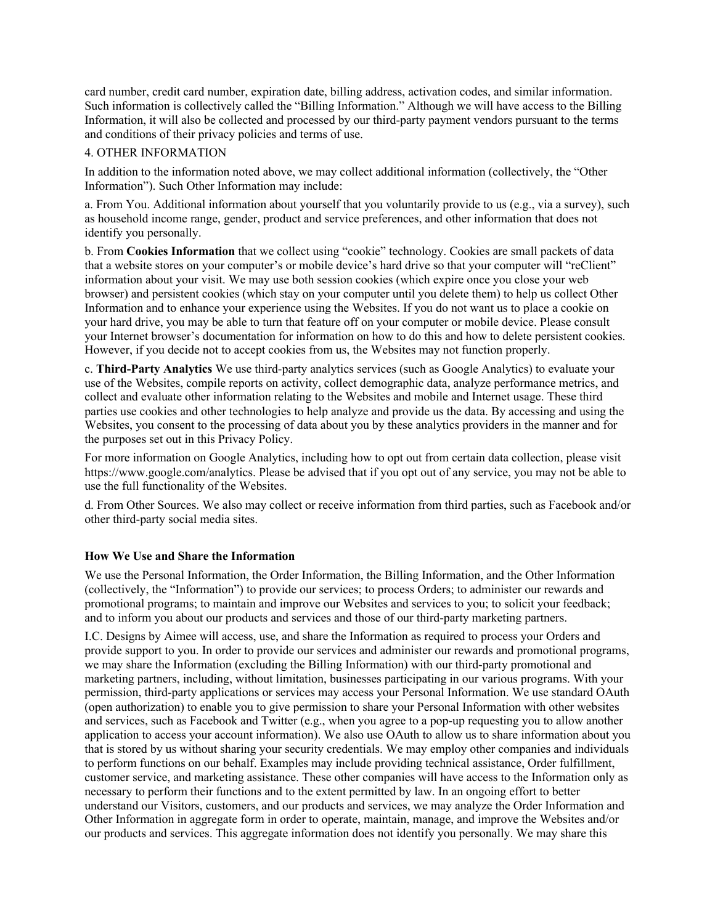card number, credit card number, expiration date, billing address, activation codes, and similar information. Such information is collectively called the "Billing Information." Although we will have access to the Billing Information, it will also be collected and processed by our third-party payment vendors pursuant to the terms and conditions of their privacy policies and terms of use.

# 4. OTHER INFORMATION

In addition to the information noted above, we may collect additional information (collectively, the "Other Information"). Such Other Information may include:

a. From You. Additional information about yourself that you voluntarily provide to us (e.g., via a survey), such as household income range, gender, product and service preferences, and other information that does not identify you personally.

b. From **Cookies Information** that we collect using "cookie" technology. Cookies are small packets of data that a website stores on your computer's or mobile device's hard drive so that your computer will "reClient" information about your visit. We may use both session cookies (which expire once you close your web browser) and persistent cookies (which stay on your computer until you delete them) to help us collect Other Information and to enhance your experience using the Websites. If you do not want us to place a cookie on your hard drive, you may be able to turn that feature off on your computer or mobile device. Please consult your Internet browser's documentation for information on how to do this and how to delete persistent cookies. However, if you decide not to accept cookies from us, the Websites may not function properly.

c. **Third-Party Analytics** We use third-party analytics services (such as Google Analytics) to evaluate your use of the Websites, compile reports on activity, collect demographic data, analyze performance metrics, and collect and evaluate other information relating to the Websites and mobile and Internet usage. These third parties use cookies and other technologies to help analyze and provide us the data. By accessing and using the Websites, you consent to the processing of data about you by these analytics providers in the manner and for the purposes set out in this Privacy Policy.

For more information on Google Analytics, including how to opt out from certain data collection, please visit https://www.google.com/analytics. Please be advised that if you opt out of any service, you may not be able to use the full functionality of the Websites.

d. From Other Sources. We also may collect or receive information from third parties, such as Facebook and/or other third-party social media sites.

## **How We Use and Share the Information**

We use the Personal Information, the Order Information, the Billing Information, and the Other Information (collectively, the "Information") to provide our services; to process Orders; to administer our rewards and promotional programs; to maintain and improve our Websites and services to you; to solicit your feedback; and to inform you about our products and services and those of our third-party marketing partners.

I.C. Designs by Aimee will access, use, and share the Information as required to process your Orders and provide support to you. In order to provide our services and administer our rewards and promotional programs, we may share the Information (excluding the Billing Information) with our third-party promotional and marketing partners, including, without limitation, businesses participating in our various programs. With your permission, third-party applications or services may access your Personal Information. We use standard OAuth (open authorization) to enable you to give permission to share your Personal Information with other websites and services, such as Facebook and Twitter (e.g., when you agree to a pop-up requesting you to allow another application to access your account information). We also use OAuth to allow us to share information about you that is stored by us without sharing your security credentials. We may employ other companies and individuals to perform functions on our behalf. Examples may include providing technical assistance, Order fulfillment, customer service, and marketing assistance. These other companies will have access to the Information only as necessary to perform their functions and to the extent permitted by law. In an ongoing effort to better understand our Visitors, customers, and our products and services, we may analyze the Order Information and Other Information in aggregate form in order to operate, maintain, manage, and improve the Websites and/or our products and services. This aggregate information does not identify you personally. We may share this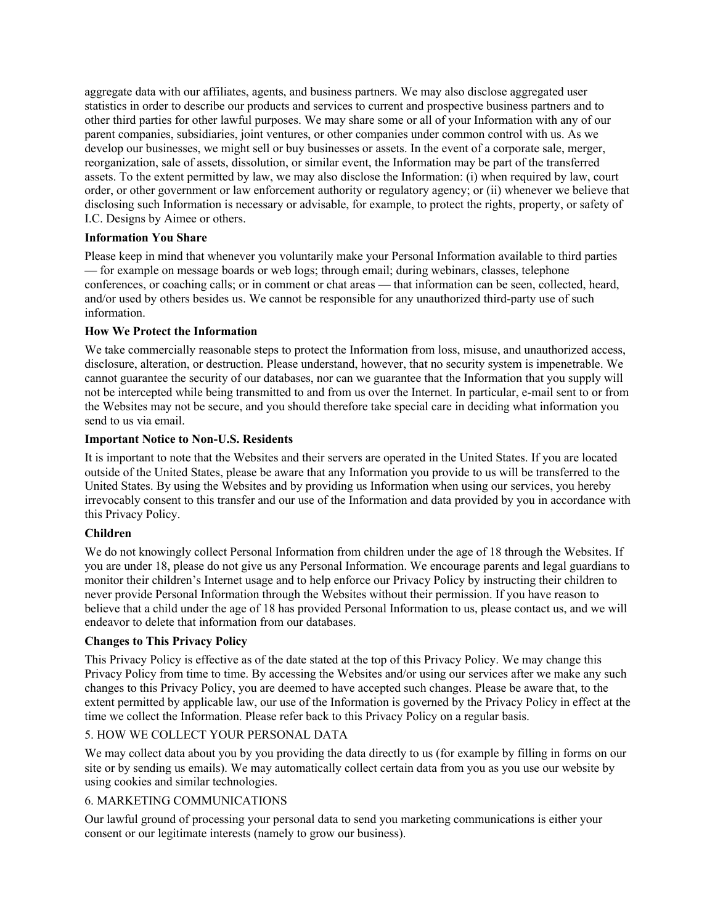aggregate data with our affiliates, agents, and business partners. We may also disclose aggregated user statistics in order to describe our products and services to current and prospective business partners and to other third parties for other lawful purposes. We may share some or all of your Information with any of our parent companies, subsidiaries, joint ventures, or other companies under common control with us. As we develop our businesses, we might sell or buy businesses or assets. In the event of a corporate sale, merger, reorganization, sale of assets, dissolution, or similar event, the Information may be part of the transferred assets. To the extent permitted by law, we may also disclose the Information: (i) when required by law, court order, or other government or law enforcement authority or regulatory agency; or (ii) whenever we believe that disclosing such Information is necessary or advisable, for example, to protect the rights, property, or safety of I.C. Designs by Aimee or others.

# **Information You Share**

Please keep in mind that whenever you voluntarily make your Personal Information available to third parties — for example on message boards or web logs; through email; during webinars, classes, telephone conferences, or coaching calls; or in comment or chat areas — that information can be seen, collected, heard, and/or used by others besides us. We cannot be responsible for any unauthorized third-party use of such information.

# **How We Protect the Information**

We take commercially reasonable steps to protect the Information from loss, misuse, and unauthorized access, disclosure, alteration, or destruction. Please understand, however, that no security system is impenetrable. We cannot guarantee the security of our databases, nor can we guarantee that the Information that you supply will not be intercepted while being transmitted to and from us over the Internet. In particular, e-mail sent to or from the Websites may not be secure, and you should therefore take special care in deciding what information you send to us via email.

# **Important Notice to Non-U.S. Residents**

It is important to note that the Websites and their servers are operated in the United States. If you are located outside of the United States, please be aware that any Information you provide to us will be transferred to the United States. By using the Websites and by providing us Information when using our services, you hereby irrevocably consent to this transfer and our use of the Information and data provided by you in accordance with this Privacy Policy.

## **Children**

We do not knowingly collect Personal Information from children under the age of 18 through the Websites. If you are under 18, please do not give us any Personal Information. We encourage parents and legal guardians to monitor their children's Internet usage and to help enforce our Privacy Policy by instructing their children to never provide Personal Information through the Websites without their permission. If you have reason to believe that a child under the age of 18 has provided Personal Information to us, please contact us, and we will endeavor to delete that information from our databases.

# **Changes to This Privacy Policy**

This Privacy Policy is effective as of the date stated at the top of this Privacy Policy. We may change this Privacy Policy from time to time. By accessing the Websites and/or using our services after we make any such changes to this Privacy Policy, you are deemed to have accepted such changes. Please be aware that, to the extent permitted by applicable law, our use of the Information is governed by the Privacy Policy in effect at the time we collect the Information. Please refer back to this Privacy Policy on a regular basis.

# 5. HOW WE COLLECT YOUR PERSONAL DATA

We may collect data about you by you providing the data directly to us (for example by filling in forms on our site or by sending us emails). We may automatically collect certain data from you as you use our website by using cookies and similar technologies.

# 6. MARKETING COMMUNICATIONS

Our lawful ground of processing your personal data to send you marketing communications is either your consent or our legitimate interests (namely to grow our business).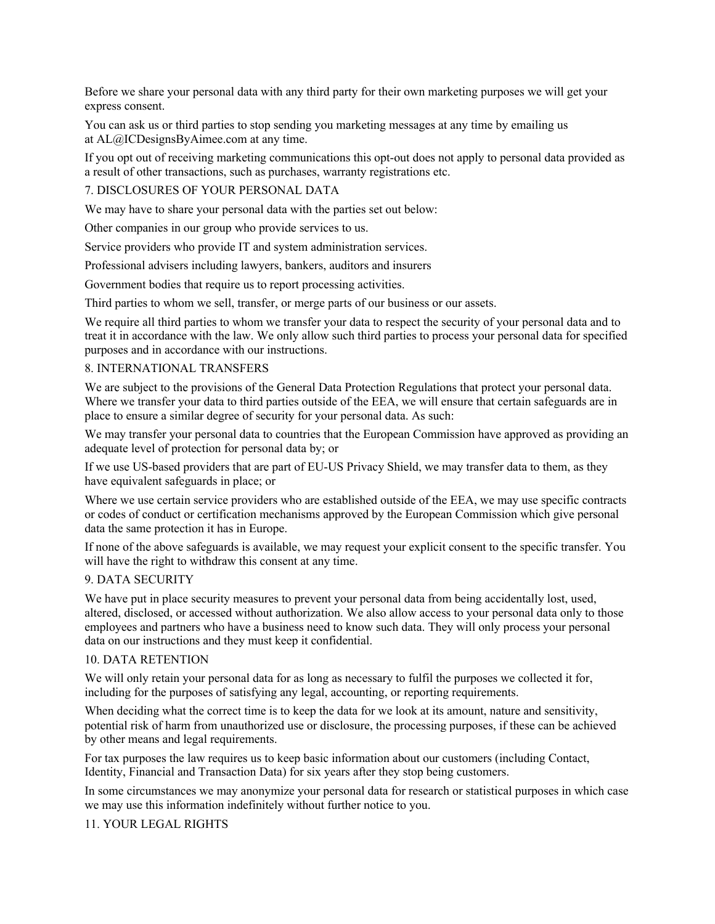Before we share your personal data with any third party for their own marketing purposes we will get your express consent.

You can ask us or third parties to stop sending you marketing messages at any time by emailing us at AL@ICDesignsByAimee.com at any time.

If you opt out of receiving marketing communications this opt-out does not apply to personal data provided as a result of other transactions, such as purchases, warranty registrations etc.

7. DISCLOSURES OF YOUR PERSONAL DATA

We may have to share your personal data with the parties set out below:

Other companies in our group who provide services to us.

Service providers who provide IT and system administration services.

Professional advisers including lawyers, bankers, auditors and insurers

Government bodies that require us to report processing activities.

Third parties to whom we sell, transfer, or merge parts of our business or our assets.

We require all third parties to whom we transfer your data to respect the security of your personal data and to treat it in accordance with the law. We only allow such third parties to process your personal data for specified purposes and in accordance with our instructions.

## 8. INTERNATIONAL TRANSFERS

We are subject to the provisions of the General Data Protection Regulations that protect your personal data. Where we transfer your data to third parties outside of the EEA, we will ensure that certain safeguards are in place to ensure a similar degree of security for your personal data. As such:

We may transfer your personal data to countries that the European Commission have approved as providing an adequate level of protection for personal data by; or

If we use US-based providers that are part of EU-US Privacy Shield, we may transfer data to them, as they have equivalent safeguards in place; or

Where we use certain service providers who are established outside of the EEA, we may use specific contracts or codes of conduct or certification mechanisms approved by the European Commission which give personal data the same protection it has in Europe.

If none of the above safeguards is available, we may request your explicit consent to the specific transfer. You will have the right to withdraw this consent at any time.

#### 9. DATA SECURITY

We have put in place security measures to prevent your personal data from being accidentally lost, used, altered, disclosed, or accessed without authorization. We also allow access to your personal data only to those employees and partners who have a business need to know such data. They will only process your personal data on our instructions and they must keep it confidential.

#### 10. DATA RETENTION

We will only retain your personal data for as long as necessary to fulfil the purposes we collected it for, including for the purposes of satisfying any legal, accounting, or reporting requirements.

When deciding what the correct time is to keep the data for we look at its amount, nature and sensitivity, potential risk of harm from unauthorized use or disclosure, the processing purposes, if these can be achieved by other means and legal requirements.

For tax purposes the law requires us to keep basic information about our customers (including Contact, Identity, Financial and Transaction Data) for six years after they stop being customers.

In some circumstances we may anonymize your personal data for research or statistical purposes in which case we may use this information indefinitely without further notice to you.

11. YOUR LEGAL RIGHTS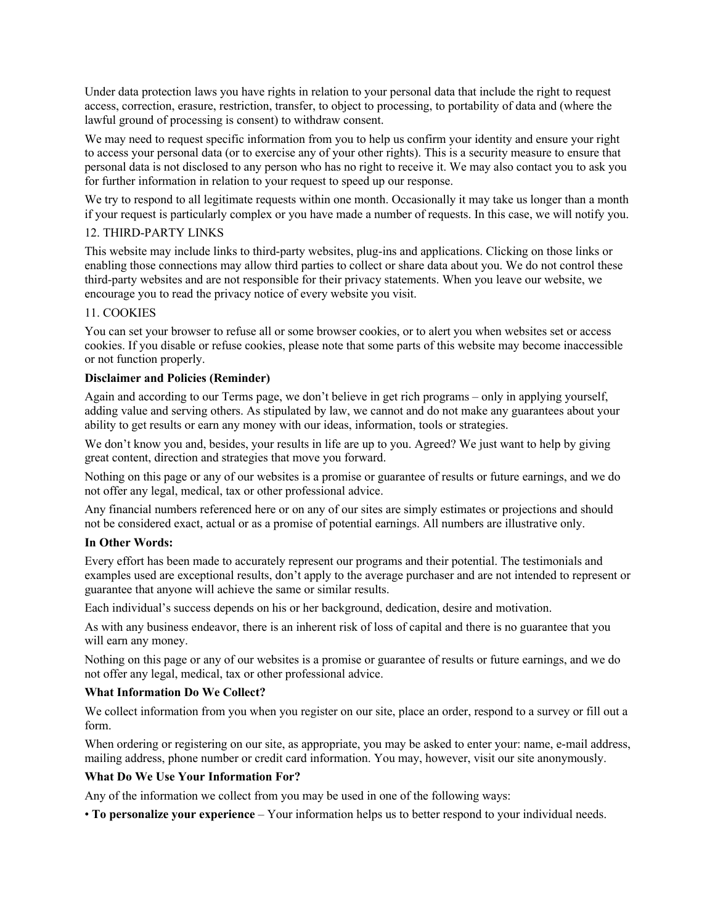Under data protection laws you have rights in relation to your personal data that include the right to request access, correction, erasure, restriction, transfer, to object to processing, to portability of data and (where the lawful ground of processing is consent) to withdraw consent.

We may need to request specific information from you to help us confirm your identity and ensure your right to access your personal data (or to exercise any of your other rights). This is a security measure to ensure that personal data is not disclosed to any person who has no right to receive it. We may also contact you to ask you for further information in relation to your request to speed up our response.

We try to respond to all legitimate requests within one month. Occasionally it may take us longer than a month if your request is particularly complex or you have made a number of requests. In this case, we will notify you.

## 12. THIRD-PARTY LINKS

This website may include links to third-party websites, plug-ins and applications. Clicking on those links or enabling those connections may allow third parties to collect or share data about you. We do not control these third-party websites and are not responsible for their privacy statements. When you leave our website, we encourage you to read the privacy notice of every website you visit.

# 11. COOKIES

You can set your browser to refuse all or some browser cookies, or to alert you when websites set or access cookies. If you disable or refuse cookies, please note that some parts of this website may become inaccessible or not function properly.

# **Disclaimer and Policies (Reminder)**

Again and according to our Terms page, we don't believe in get rich programs – only in applying yourself, adding value and serving others. As stipulated by law, we cannot and do not make any guarantees about your ability to get results or earn any money with our ideas, information, tools or strategies.

We don't know you and, besides, your results in life are up to you. Agreed? We just want to help by giving great content, direction and strategies that move you forward.

Nothing on this page or any of our websites is a promise or guarantee of results or future earnings, and we do not offer any legal, medical, tax or other professional advice.

Any financial numbers referenced here or on any of our sites are simply estimates or projections and should not be considered exact, actual or as a promise of potential earnings. All numbers are illustrative only.

## **In Other Words:**

Every effort has been made to accurately represent our programs and their potential. The testimonials and examples used are exceptional results, don't apply to the average purchaser and are not intended to represent or guarantee that anyone will achieve the same or similar results.

Each individual's success depends on his or her background, dedication, desire and motivation.

As with any business endeavor, there is an inherent risk of loss of capital and there is no guarantee that you will earn any money.

Nothing on this page or any of our websites is a promise or guarantee of results or future earnings, and we do not offer any legal, medical, tax or other professional advice.

# **What Information Do We Collect?**

We collect information from you when you register on our site, place an order, respond to a survey or fill out a form.

When ordering or registering on our site, as appropriate, you may be asked to enter your: name, e-mail address, mailing address, phone number or credit card information. You may, however, visit our site anonymously.

# **What Do We Use Your Information For?**

Any of the information we collect from you may be used in one of the following ways:

• **To personalize your experience** – Your information helps us to better respond to your individual needs.